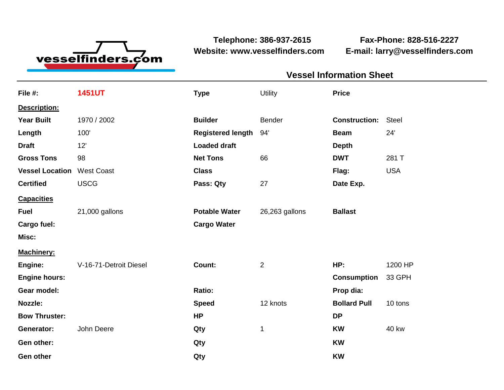

**Telephone: 386-937-2615 Fax-Phone: 828-516-2227 Website: www.vesselfinders.com E-mail: larry@vesselfinders.com**

| <b>Vessel Information Sheet</b>      |  |
|--------------------------------------|--|
| Utility Price                        |  |
|                                      |  |
| <b>Construction: Steel</b>           |  |
| Beam 24'                             |  |
|                                      |  |
| <b>DWT</b> 281 T                     |  |
| Flag: USA<br>Date Exp.               |  |
|                                      |  |
| Potable Water 26,263 gallons Ballast |  |
|                                      |  |
|                                      |  |
| <b>HP:</b> 1200 HP                   |  |
| Consumption 33 GPH                   |  |
| Prop dia:                            |  |
| <b>Bollard Pull</b> 10 tons          |  |
|                                      |  |
| <b>KW</b> 40 kw                      |  |
|                                      |  |